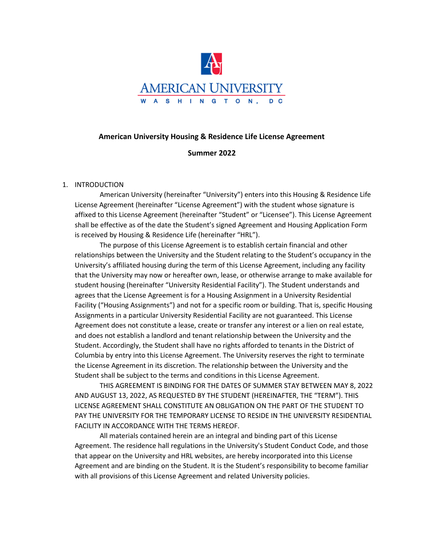

# **American University Housing & Residence Life License Agreement**

# **Summer 2022**

# 1. INTRODUCTION

American University (hereinafter "University") enters into this Housing & Residence Life License Agreement (hereinafter "License Agreement") with the student whose signature is affixed to this License Agreement (hereinafter "Student" or "Licensee"). This License Agreement shall be effective as of the date the Student's signed Agreement and Housing Application Form is received by Housing & Residence Life (hereinafter "HRL").

The purpose of this License Agreement is to establish certain financial and other relationships between the University and the Student relating to the Student's occupancy in the University's affiliated housing during the term of this License Agreement, including any facility that the University may now or hereafter own, lease, or otherwise arrange to make available for student housing (hereinafter "University Residential Facility"). The Student understands and agrees that the License Agreement is for a Housing Assignment in a University Residential Facility ("Housing Assignments") and not for a specific room or building. That is, specific Housing Assignments in a particular University Residential Facility are not guaranteed. This License Agreement does not constitute a lease, create or transfer any interest or a lien on real estate, and does not establish a landlord and tenant relationship between the University and the Student. Accordingly, the Student shall have no rights afforded to tenants in the District of Columbia by entry into this License Agreement. The University reserves the right to terminate the License Agreement in its discretion. The relationship between the University and the Student shall be subject to the terms and conditions in this License Agreement.

THIS AGREEMENT IS BINDING FOR THE DATES OF SUMMER STAY BETWEEN MAY 8, 2022 AND AUGUST 13, 2022, AS REQUESTED BY THE STUDENT (HEREINAFTER, THE "TERM"). THIS LICENSE AGREEMENT SHALL CONSTITUTE AN OBLIGATION ON THE PART OF THE STUDENT TO PAY THE UNIVERSITY FOR THE TEMPORARY LICENSE TO RESIDE IN THE UNIVERSITY RESIDENTIAL FACILITY IN ACCORDANCE WITH THE TERMS HEREOF.

All materials contained herein are an integral and binding part of this License Agreement. The residence hall regulations in the University's Student Conduct Code, and those that appear on the University and HRL websites, are hereby incorporated into this License Agreement and are binding on the Student. It is the Student's responsibility to become familiar with all provisions of this License Agreement and related University policies.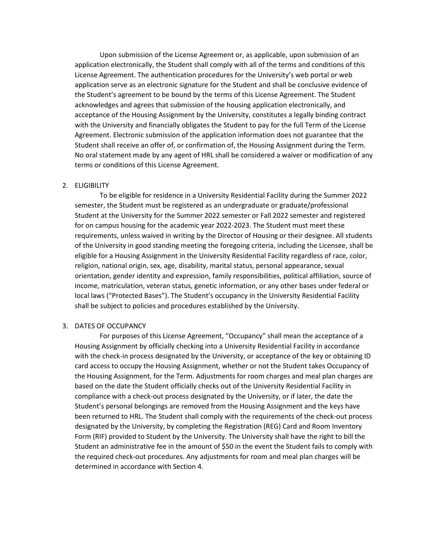Upon submission of the License Agreement or, as applicable, upon submission of an application electronically, the Student shall comply with all of the terms and conditions of this License Agreement. The authentication procedures for the University's web portal or web application serve as an electronic signature for the Student and shall be conclusive evidence of the Student's agreement to be bound by the terms of this License Agreement. The Student acknowledges and agrees that submission of the housing application electronically, and acceptance of the Housing Assignment by the University, constitutes a legally binding contract with the University and financially obligates the Student to pay for the full Term of the License Agreement. Electronic submission of the application information does not guarantee that the Student shall receive an offer of, or confirmation of, the Housing Assignment during the Term. No oral statement made by any agent of HRL shall be considered a waiver or modification of any terms or conditions of this License Agreement.

## 2. ELIGIBILITY

To be eligible for residence in a University Residential Facility during the Summer 2022 semester, the Student must be registered as an undergraduate or graduate/professional Student at the University for the Summer 2022 semester or Fall 2022 semester and registered for on campus housing for the academic year 2022-2023. The Student must meet these requirements, unless waived in writing by the Director of Housing or their designee. All students of the University in good standing meeting the foregoing criteria, including the Licensee, shall be eligible for a Housing Assignment in the University Residential Facility regardless of race, color, religion, national origin, sex, age, disability, marital status, personal appearance, sexual orientation, gender identity and expression, family responsibilities, political affiliation, source of income, matriculation, veteran status, genetic information, or any other bases under federal or local laws ("Protected Bases"). The Student's occupancy in the University Residential Facility shall be subject to policies and procedures established by the University.

## 3. DATES OF OCCUPANCY

For purposes of this License Agreement, "Occupancy" shall mean the acceptance of a Housing Assignment by officially checking into a University Residential Facility in accordance with the check-in process designated by the University, or acceptance of the key or obtaining ID card access to occupy the Housing Assignment, whether or not the Student takes Occupancy of the Housing Assignment, for the Term. Adjustments for room charges and meal plan charges are based on the date the Student officially checks out of the University Residential Facility in compliance with a check-out process designated by the University, or if later, the date the Student's personal belongings are removed from the Housing Assignment and the keys have been returned to HRL. The Student shall comply with the requirements of the check-out process designated by the University, by completing the Registration (REG) Card and Room Inventory Form (RIF) provided to Student by the University. The University shall have the right to bill the Student an administrative fee in the amount of \$50 in the event the Student fails to comply with the required check-out procedures. Any adjustments for room and meal plan charges will be determined in accordance with Section 4.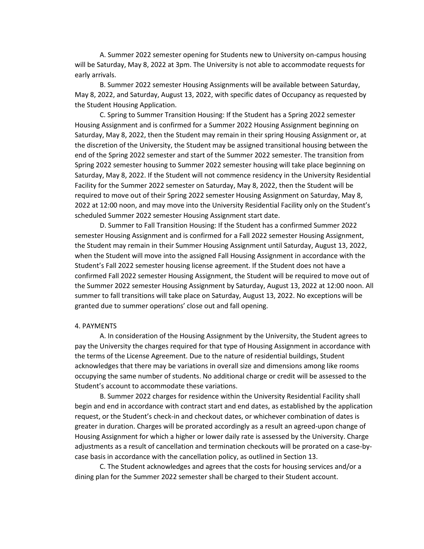A. Summer 2022 semester opening for Students new to University on-campus housing will be Saturday, May 8, 2022 at 3pm. The University is not able to accommodate requests for early arrivals.

B. Summer 2022 semester Housing Assignments will be available between Saturday, May 8, 2022, and Saturday, August 13, 2022, with specific dates of Occupancy as requested by the Student Housing Application.

C. Spring to Summer Transition Housing: If the Student has a Spring 2022 semester Housing Assignment and is confirmed for a Summer 2022 Housing Assignment beginning on Saturday, May 8, 2022, then the Student may remain in their spring Housing Assignment or, at the discretion of the University, the Student may be assigned transitional housing between the end of the Spring 2022 semester and start of the Summer 2022 semester. The transition from Spring 2022 semester housing to Summer 2022 semester housing will take place beginning on Saturday, May 8, 2022. If the Student will not commence residency in the University Residential Facility for the Summer 2022 semester on Saturday, May 8, 2022, then the Student will be required to move out of their Spring 2022 semester Housing Assignment on Saturday, May 8, 2022 at 12:00 noon, and may move into the University Residential Facility only on the Student's scheduled Summer 2022 semester Housing Assignment start date.

D. Summer to Fall Transition Housing: If the Student has a confirmed Summer 2022 semester Housing Assignment and is confirmed for a Fall 2022 semester Housing Assignment, the Student may remain in their Summer Housing Assignment until Saturday, August 13, 2022, when the Student will move into the assigned Fall Housing Assignment in accordance with the Student's Fall 2022 semester housing license agreement. If the Student does not have a confirmed Fall 2022 semester Housing Assignment, the Student will be required to move out of the Summer 2022 semester Housing Assignment by Saturday, August 13, 2022 at 12:00 noon. All summer to fall transitions will take place on Saturday, August 13, 2022. No exceptions will be granted due to summer operations' close out and fall opening.

#### 4. PAYMENTS

A. In consideration of the Housing Assignment by the University, the Student agrees to pay the University the charges required for that type of Housing Assignment in accordance with the terms of the License Agreement. Due to the nature of residential buildings, Student acknowledges that there may be variations in overall size and dimensions among like rooms occupying the same number of students. No additional charge or credit will be assessed to the Student's account to accommodate these variations.

B. Summer 2022 charges for residence within the University Residential Facility shall begin and end in accordance with contract start and end dates, as established by the application request, or the Student's check-in and checkout dates, or whichever combination of dates is greater in duration. Charges will be prorated accordingly as a result an agreed-upon change of Housing Assignment for which a higher or lower daily rate is assessed by the University. Charge adjustments as a result of cancellation and termination checkouts will be prorated on a case-bycase basis in accordance with the cancellation policy, as outlined in Section 13.

C. The Student acknowledges and agrees that the costs for housing services and/or a dining plan for the Summer 2022 semester shall be charged to their Student account.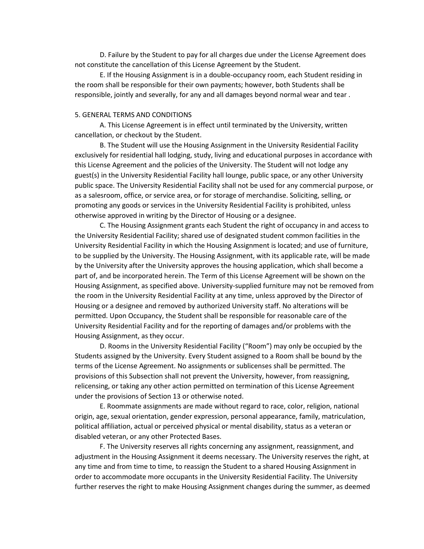D. Failure by the Student to pay for all charges due under the License Agreement does not constitute the cancellation of this License Agreement by the Student.

E. If the Housing Assignment is in a double-occupancy room, each Student residing in the room shall be responsible for their own payments; however, both Students shall be responsible, jointly and severally, for any and all damages beyond normal wear and tear .

## 5. GENERAL TERMS AND CONDITIONS

A. This License Agreement is in effect until terminated by the University, written cancellation, or checkout by the Student.

B. The Student will use the Housing Assignment in the University Residential Facility exclusively for residential hall lodging, study, living and educational purposes in accordance with this License Agreement and the policies of the University. The Student will not lodge any guest(s) in the University Residential Facility hall lounge, public space, or any other University public space. The University Residential Facility shall not be used for any commercial purpose, or as a salesroom, office, or service area, or for storage of merchandise. Soliciting, selling, or promoting any goods or services in the University Residential Facility is prohibited, unless otherwise approved in writing by the Director of Housing or a designee.

C. The Housing Assignment grants each Student the right of occupancy in and access to the University Residential Facility; shared use of designated student common facilities in the University Residential Facility in which the Housing Assignment is located; and use of furniture, to be supplied by the University. The Housing Assignment, with its applicable rate, will be made by the University after the University approves the housing application, which shall become a part of, and be incorporated herein. The Term of this License Agreement will be shown on the Housing Assignment, as specified above. University-supplied furniture may not be removed from the room in the University Residential Facility at any time, unless approved by the Director of Housing or a designee and removed by authorized University staff. No alterations will be permitted. Upon Occupancy, the Student shall be responsible for reasonable care of the University Residential Facility and for the reporting of damages and/or problems with the Housing Assignment, as they occur.

D. Rooms in the University Residential Facility ("Room") may only be occupied by the Students assigned by the University. Every Student assigned to a Room shall be bound by the terms of the License Agreement. No assignments or sublicenses shall be permitted. The provisions of this Subsection shall not prevent the University, however, from reassigning, relicensing, or taking any other action permitted on termination of this License Agreement under the provisions of Section 13 or otherwise noted.

E. Roommate assignments are made without regard to race, color, religion, national origin, age, sexual orientation, gender expression, personal appearance, family, matriculation, political affiliation, actual or perceived physical or mental disability, status as a veteran or disabled veteran, or any other Protected Bases.

F. The University reserves all rights concerning any assignment, reassignment, and adjustment in the Housing Assignment it deems necessary. The University reserves the right, at any time and from time to time, to reassign the Student to a shared Housing Assignment in order to accommodate more occupants in the University Residential Facility. The University further reserves the right to make Housing Assignment changes during the summer, as deemed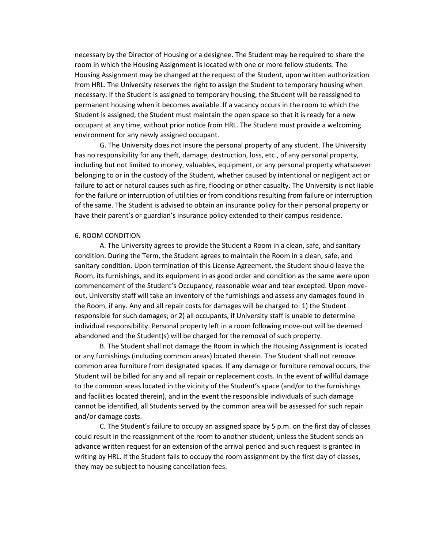necessary by the Director of Housing or a designee. The Student may be required to share the room in which the Housing Assignment is located with one or more fellow students. The Housing Assignment may be changed at the request of the Student, upon written authorization from HRL. The University reserves the right to assign the Student to temporary housing when necessary. If the Student is assigned to temporary housing, the Student will be reassigned to permanent housing when it becomes available. If a vacancy occurs in the room to which the Student is assigned, the Student must maintain the open space so that it is ready for a new occupant at any time, without prior notice from HRL. The Student must provide a welcoming environment for any newly assigned occupant.

G. The University does not insure the personal property of any student. The University has no responsibility for any theft, damage, destruction, loss, etc., of any personal property, including but not limited to money, valuables, equipment, or any personal property whatsoever belonging to or in the custody of the Student, whether caused by intentional or negligent act or failure to act or natural causes such as fire, flooding or other casualty. The University is not liable for the failure or interruption of utilities or from conditions resulting from failure or interruption of the same. The Student is advised to obtain an insurance policy for their personal property or have their parent's or guardian's insurance policy extended to their campus residence.

### 6. ROOM CONDITION

A. The University agrees to provide the Student a Room in a clean, safe, and sanitary condition. During the Term, the Student agrees to maintain the Room in a clean, safe, and sanitary condition. Upon termination of this License Agreement, the Student should leave the Room, its furnishings, and its equipment in as good order and condition as the same were upon commencement of the Student's Occupancy, reasonable wear and tear excepted. Upon moveout, University staff will take an inventory of the furnishings and assess any damages found in the Room, if any. Any and all repair costs for damages will be charged to: 1) the Student responsible for such damages; or 2) all occupants, if University staff is unable to determine individual responsibility. Personal property left in a room following move-out will be deemed abandoned and the Student(s) will be charged for the removal of such property.

B. The Student shall not damage the Room in which the Housing Assignment is located or any furnishings (including common areas) located therein. The Student shall not remove common area furniture from designated spaces. If any damage or furniture removal occurs, the Student will be billed for any and all repair or replacement costs. In the event of willful damage to the common areas located in the vicinity of the Student's space (and/or to the furnishings and facilities located therein), and in the event the responsible individuals of such damage cannot be identified, all Students served by the common area will be assessed for such repair and/or damage costs.

C. The Student's failure to occupy an assigned space by 5 p.m. on the first day of classes could result in the reassignment of the room to another student, unless the Student sends an advance written request for an extension of the arrival period and such request is granted in writing by HRL. If the Student fails to occupy the room assignment by the first day of classes, they may be subject to housing cancellation fees.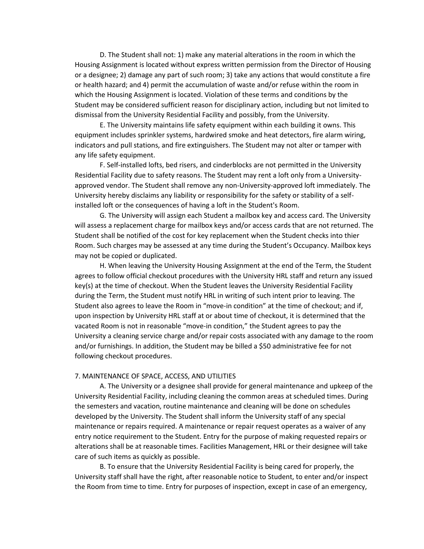D. The Student shall not: 1) make any material alterations in the room in which the Housing Assignment is located without express written permission from the Director of Housing or a designee; 2) damage any part of such room; 3) take any actions that would constitute a fire or health hazard; and 4) permit the accumulation of waste and/or refuse within the room in which the Housing Assignment is located. Violation of these terms and conditions by the Student may be considered sufficient reason for disciplinary action, including but not limited to dismissal from the University Residential Facility and possibly, from the University.

E. The University maintains life safety equipment within each building it owns. This equipment includes sprinkler systems, hardwired smoke and heat detectors, fire alarm wiring, indicators and pull stations, and fire extinguishers. The Student may not alter or tamper with any life safety equipment.

F. Self-installed lofts, bed risers, and cinderblocks are not permitted in the University Residential Facility due to safety reasons. The Student may rent a loft only from a Universityapproved vendor. The Student shall remove any non-University-approved loft immediately. The University hereby disclaims any liability or responsibility for the safety or stability of a selfinstalled loft or the consequences of having a loft in the Student's Room.

G. The University will assign each Student a mailbox key and access card. The University will assess a replacement charge for mailbox keys and/or access cards that are not returned. The Student shall be notified of the cost for key replacement when the Student checks into thier Room. Such charges may be assessed at any time during the Student's Occupancy. Mailbox keys may not be copied or duplicated.

H. When leaving the University Housing Assignment at the end of the Term, the Student agrees to follow official checkout procedures with the University HRL staff and return any issued key(s) at the time of checkout. When the Student leaves the University Residential Facility during the Term, the Student must notify HRL in writing of such intent prior to leaving. The Student also agrees to leave the Room in "move-in condition" at the time of checkout; and if, upon inspection by University HRL staff at or about time of checkout, it is determined that the vacated Room is not in reasonable "move-in condition," the Student agrees to pay the University a cleaning service charge and/or repair costs associated with any damage to the room and/or furnishings. In addition, the Student may be billed a \$50 administrative fee for not following checkout procedures.

#### 7. MAINTENANCE OF SPACE, ACCESS, AND UTILITIES

A. The University or a designee shall provide for general maintenance and upkeep of the University Residential Facility, including cleaning the common areas at scheduled times. During the semesters and vacation, routine maintenance and cleaning will be done on schedules developed by the University. The Student shall inform the University staff of any special maintenance or repairs required. A maintenance or repair request operates as a waiver of any entry notice requirement to the Student. Entry for the purpose of making requested repairs or alterations shall be at reasonable times. Facilities Management, HRL or their designee will take care of such items as quickly as possible.

B. To ensure that the University Residential Facility is being cared for properly, the University staff shall have the right, after reasonable notice to Student, to enter and/or inspect the Room from time to time. Entry for purposes of inspection, except in case of an emergency,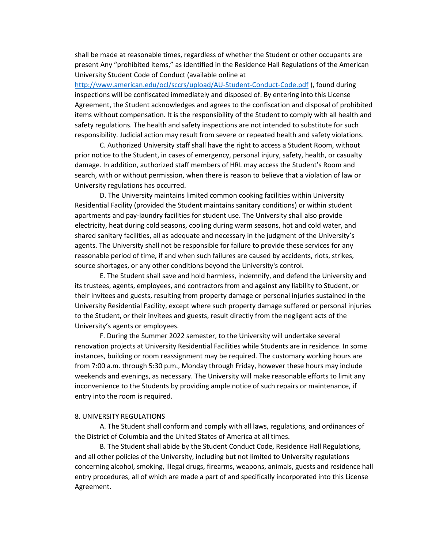shall be made at reasonable times, regardless of whether the Student or other occupants are present Any "prohibited items," as identified in the Residence Hall Regulations of the American University Student Code of Conduct (available online at

<http://www.american.edu/ocl/sccrs/upload/AU-Student-Conduct-Code.pdf> ), found during inspections will be confiscated immediately and disposed of. By entering into this License Agreement, the Student acknowledges and agrees to the confiscation and disposal of prohibited items without compensation. It is the responsibility of the Student to comply with all health and safety regulations. The health and safety inspections are not intended to substitute for such responsibility. Judicial action may result from severe or repeated health and safety violations.

C. Authorized University staff shall have the right to access a Student Room, without prior notice to the Student, in cases of emergency, personal injury, safety, health, or casualty damage. In addition, authorized staff members of HRL may access the Student's Room and search, with or without permission, when there is reason to believe that a violation of law or University regulations has occurred.

D. The University maintains limited common cooking facilities within University Residential Facility (provided the Student maintains sanitary conditions) or within student apartments and pay-laundry facilities for student use. The University shall also provide electricity, heat during cold seasons, cooling during warm seasons, hot and cold water, and shared sanitary facilities, all as adequate and necessary in the judgment of the University's agents. The University shall not be responsible for failure to provide these services for any reasonable period of time, if and when such failures are caused by accidents, riots, strikes, source shortages, or any other conditions beyond the University's control.

E. The Student shall save and hold harmless, indemnify, and defend the University and its trustees, agents, employees, and contractors from and against any liability to Student, or their invitees and guests, resulting from property damage or personal injuries sustained in the University Residential Facility, except where such property damage suffered or personal injuries to the Student, or their invitees and guests, result directly from the negligent acts of the University's agents or employees.

F. During the Summer 2022 semester, to the University will undertake several renovation projects at University Residential Facilities while Students are in residence. In some instances, building or room reassignment may be required. The customary working hours are from 7:00 a.m. through 5:30 p.m., Monday through Friday, however these hours may include weekends and evenings, as necessary. The University will make reasonable efforts to limit any inconvenience to the Students by providing ample notice of such repairs or maintenance, if entry into the room is required.

### 8. UNIVERSITY REGULATIONS

A. The Student shall conform and comply with all laws, regulations, and ordinances of the District of Columbia and the United States of America at all times.

B. The Student shall abide by the Student Conduct Code, Residence Hall Regulations, and all other policies of the University, including but not limited to University regulations concerning alcohol, smoking, illegal drugs, firearms, weapons, animals, guests and residence hall entry procedures, all of which are made a part of and specifically incorporated into this License Agreement.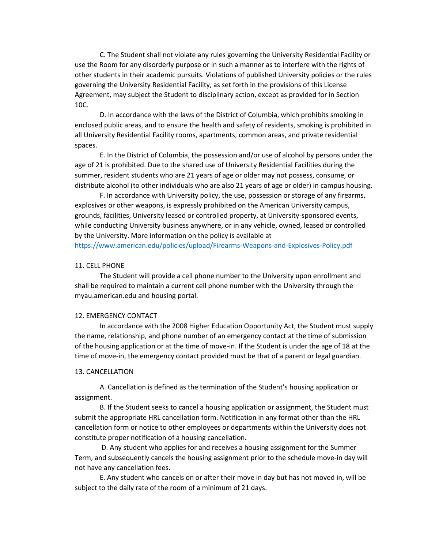C. The Student shall not violate any rules governing the University Residential Facility or use the Room for any disorderly purpose or in such a manner as to interfere with the rights of other students in their academic pursuits. Violations of published University policies or the rules governing the University Residential Facility, as set forth in the provisions of this License Agreement, may subject the Student to disciplinary action, except as provided for in Section 10C.

D. In accordance with the laws of the District of Columbia, which prohibits smoking in enclosed public areas, and to ensure the health and safety of residents, smoking is prohibited in all University Residential Facility rooms, apartments, common areas, and private residential spaces.

E. In the District of Columbia, the possession and/or use of alcohol by persons under the age of 21 is prohibited. Due to the shared use of University Residential Facilities during the summer, resident students who are 21 years of age or older may not possess, consume, or distribute alcohol (to other individuals who are also 21 years of age or older) in campus housing.

F. In accordance with University policy, the use, possession or storage of any firearms, explosives or other weapons, is expressly prohibited on the American University campus, grounds, facilities, University leased or controlled property, at University-sponsored events, while conducting University business anywhere, or in any vehicle, owned, leased or controlled by the University. More information on the policy is available at

<https://www.american.edu/policies/upload/Firearms-Weapons-and-Explosives-Policy.pdf>

### 11. CELL PHONE

The Student will provide a cell phone number to the University upon enrollment and shall be required to maintain a current cell phone number with the University through the myau.american.edu and housing portal.

#### 12. EMERGENCY CONTACT

In accordance with the 2008 Higher Education Opportunity Act, the Student must supply the name, relationship, and phone number of an emergency contact at the time of submission of the housing application or at the time of move-in. If the Student is under the age of 18 at the time of move-in, the emergency contact provided must be that of a parent or legal guardian.

### 13. CANCELLATION

A. Cancellation is defined as the termination of the Student's housing application or assignment.

B. If the Student seeks to cancel a housing application or assignment, the Student must submit the appropriate HRL cancellation form. Notification in any format other than the HRL cancellation form or notice to other employees or departments within the University does not constitute proper notification of a housing cancellation.

D. Any student who applies for and receives a housing assignment for the Summer Term, and subsequently cancels the housing assignment prior to the schedule move-in day will not have any cancellation fees.

E. Any student who cancels on or after their move in day but has not moved in, will be subject to the daily rate of the room of a minimum of 21 days.